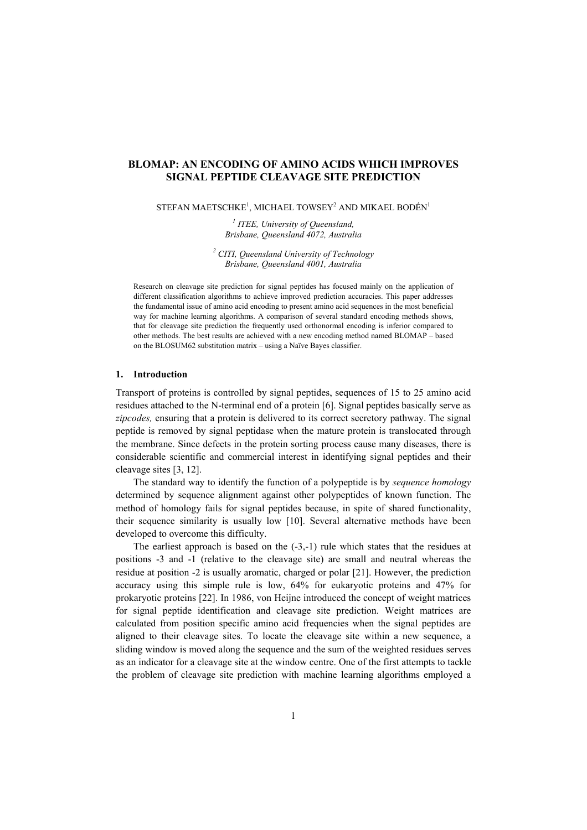# **BLOMAP: AN ENCODING OF AMINO ACIDS WHICH IMPROVES SIGNAL PEPTIDE CLEAVAGE SITE PREDICTION**

STEFAN MAETSCHKE<sup>1</sup>, MICHAEL TOWSEY<sup>2</sup> AND MIKAEL BODÉN<sup>1</sup>

*1 ITEE, University of Queensland, Brisbane, Queensland 4072, Australia* 

*2 CITI, Queensland University of Technology Brisbane, Queensland 4001, Australia* 

Research on cleavage site prediction for signal peptides has focused mainly on the application of different classification algorithms to achieve improved prediction accuracies. This paper addresses the fundamental issue of amino acid encoding to present amino acid sequences in the most beneficial way for machine learning algorithms. A comparison of several standard encoding methods shows, that for cleavage site prediction the frequently used orthonormal encoding is inferior compared to other methods. The best results are achieved with a new encoding method named BLOMAP – based on the BLOSUM62 substitution matrix – using a Naïve Bayes classifier.

#### **1. Introduction**

Transport of proteins is controlled by signal peptides, sequences of 15 to 25 amino acid residues attached to the N-terminal end of a protein [6]. Signal peptides basically serve as *zipcodes,* ensuring that a protein is delivered to its correct secretory pathway. The signal peptide is removed by signal peptidase when the mature protein is translocated through the membrane. Since defects in the protein sorting process cause many diseases, there is considerable scientific and commercial interest in identifying signal peptides and their cleavage sites [3, 12].

The standard way to identify the function of a polypeptide is by *sequence homology* determined by sequence alignment against other polypeptides of known function. The method of homology fails for signal peptides because, in spite of shared functionality, their sequence similarity is usually low [10]. Several alternative methods have been developed to overcome this difficulty.

The earliest approach is based on the (-3,-1) rule which states that the residues at positions -3 and -1 (relative to the cleavage site) are small and neutral whereas the residue at position -2 is usually aromatic, charged or polar [21]. However, the prediction accuracy using this simple rule is low, 64% for eukaryotic proteins and 47% for prokaryotic proteins [22]. In 1986, von Heijne introduced the concept of weight matrices for signal peptide identification and cleavage site prediction. Weight matrices are calculated from position specific amino acid frequencies when the signal peptides are aligned to their cleavage sites. To locate the cleavage site within a new sequence, a sliding window is moved along the sequence and the sum of the weighted residues serves as an indicator for a cleavage site at the window centre. One of the first attempts to tackle the problem of cleavage site prediction with machine learning algorithms employed a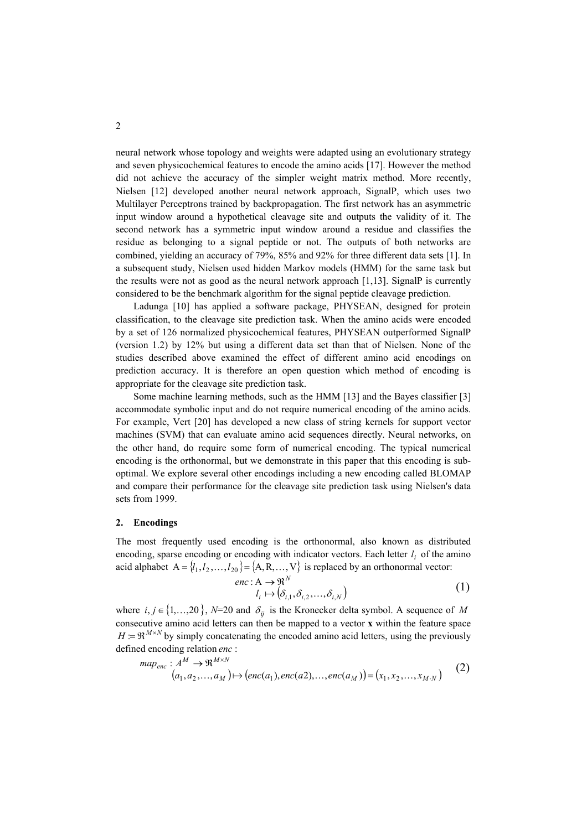neural network whose topology and weights were adapted using an evolutionary strategy and seven physicochemical features to encode the amino acids [17]. However the method did not achieve the accuracy of the simpler weight matrix method. More recently, Nielsen [12] developed another neural network approach, SignalP, which uses two Multilayer Perceptrons trained by backpropagation. The first network has an asymmetric input window around a hypothetical cleavage site and outputs the validity of it. The second network has a symmetric input window around a residue and classifies the residue as belonging to a signal peptide or not. The outputs of both networks are combined, yielding an accuracy of 79%, 85% and 92% for three different data sets [1]. In a subsequent study, Nielsen used hidden Markov models (HMM) for the same task but the results were not as good as the neural network approach [1,13]. SignalP is currently considered to be the benchmark algorithm for the signal peptide cleavage prediction.

Ladunga [10] has applied a software package, PHYSEAN, designed for protein classification, to the cleavage site prediction task. When the amino acids were encoded by a set of 126 normalized physicochemical features, PHYSEAN outperformed SignalP (version 1.2) by 12% but using a different data set than that of Nielsen. None of the studies described above examined the effect of different amino acid encodings on prediction accuracy. It is therefore an open question which method of encoding is appropriate for the cleavage site prediction task.

Some machine learning methods, such as the HMM [13] and the Bayes classifier [3] accommodate symbolic input and do not require numerical encoding of the amino acids. For example, Vert [20] has developed a new class of string kernels for support vector machines (SVM) that can evaluate amino acid sequences directly. Neural networks, on the other hand, do require some form of numerical encoding. The typical numerical encoding is the orthonormal, but we demonstrate in this paper that this encoding is suboptimal. We explore several other encodings including a new encoding called BLOMAP and compare their performance for the cleavage site prediction task using Nielsen's data sets from 1999.

## **2. Encodings**

The most frequently used encoding is the orthonormal, also known as distributed encoding, sparse encoding or encoding with indicator vectors. Each letter  $l_i$  of the amino acid alphabet  $A = \{l_1, l_2, ..., l_{20}\} = \{A, R, ..., V\}$  is replaced by an orthonormal vector:

$$
enc: A \to \mathfrak{R}^N
$$
  

$$
l_i \mapsto (\delta_{i,1}, \delta_{i,2}, \dots, \delta_{i,N})
$$
 (1)

where  $i, j \in \{1,...,20\}$ , *N*=20 and  $\delta_{ij}$  is the Kronecker delta symbol. A sequence of *M* consecutive amino acid letters can then be mapped to a vector **x** within the feature space  $H = \Re^{M \times N}$  by simply concatenating the encoded amino acid letters, using the previously defined encoding relation *enc* :

$$
map_{enc}: A^M \to \mathfrak{R}^{M \times N}
$$
  
(a<sub>1</sub>, a<sub>2</sub>,..., a<sub>M</sub>)  $\mapsto$  (enc(a<sub>1</sub>), enc(a<sub>2</sub>),..., enc(a<sub>M</sub>)) = (x<sub>1</sub>, x<sub>2</sub>,..., x<sub>M</sub>,<sub>N</sub>) (2)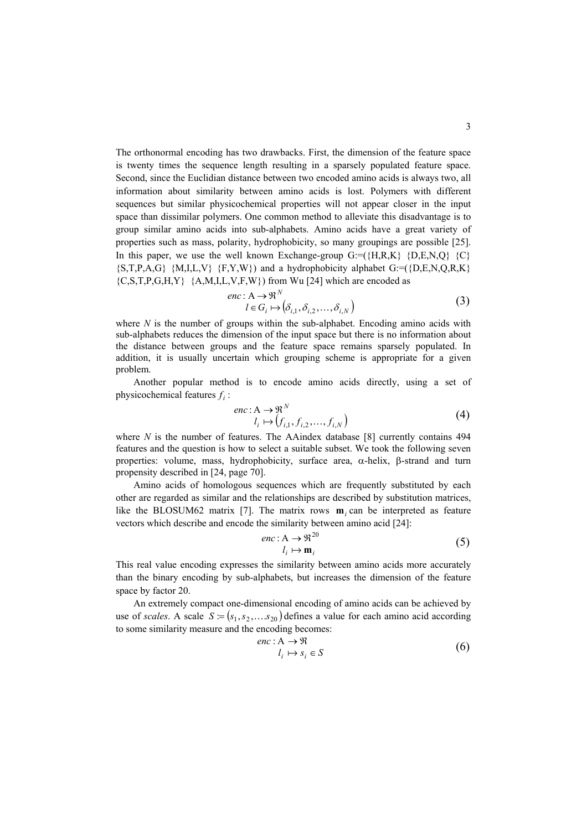The orthonormal encoding has two drawbacks. First, the dimension of the feature space is twenty times the sequence length resulting in a sparsely populated feature space. Second, since the Euclidian distance between two encoded amino acids is always two, all information about similarity between amino acids is lost. Polymers with different sequences but similar physicochemical properties will not appear closer in the input space than dissimilar polymers. One common method to alleviate this disadvantage is to group similar amino acids into sub-alphabets. Amino acids have a great variety of properties such as mass, polarity, hydrophobicity, so many groupings are possible [25]. In this paper, we use the well known Exchange-group  $G = (\{H, R, K\} \{D, E, N, Q\} \{C\})$  ${S,T,P,A,G}$   ${M,I,L,V}$   ${F,Y,W}$ ) and a hydrophobicity alphabet  $G=(D,E,N,Q,R,K)$  ${C, S, T, P, G, H, Y}$   ${A, M, I, L, V, F, W}$  from Wu [24] which are encoded as

$$
enc: A \to \mathfrak{R}^N
$$
  
\n
$$
l \in G_i \mapsto (\delta_{i,1}, \delta_{i,2}, \dots, \delta_{i,N})
$$
 (3)

where  $N$  is the number of groups within the sub-alphabet. Encoding amino acids with sub-alphabets reduces the dimension of the input space but there is no information about the distance between groups and the feature space remains sparsely populated. In addition, it is usually uncertain which grouping scheme is appropriate for a given problem.

Another popular method is to encode amino acids directly, using a set of physicochemical features  $f_i$ :

$$
enc: A \to \mathfrak{R}^N
$$
  
\n
$$
l_i \mapsto (f_{i,1}, f_{i,2}, \dots, f_{i,N})
$$
\n(4)

where *N* is the number of features. The AAindex database [8] currently contains 494 features and the question is how to select a suitable subset. We took the following seven properties: volume, mass, hydrophobicity, surface area, α-helix, β-strand and turn propensity described in [24, page 70].

Amino acids of homologous sequences which are frequently substituted by each other are regarded as similar and the relationships are described by substitution matrices, like the BLOSUM62 matrix [7]. The matrix rows  $\mathbf{m}_i$  can be interpreted as feature vectors which describe and encode the similarity between amino acid [24]:

$$
enc: A \to \mathfrak{R}^{20} \qquad (5)
$$

This real value encoding expresses the similarity between amino acids more accurately than the binary encoding by sub-alphabets, but increases the dimension of the feature space by factor 20.

use of *scales*. A scale  $S = (s_1, s_2, \ldots, s_{20})$  defines a value for each amino acid according An extremely compact one-dimensional encoding of amino acids can be achieved by to some similarity measure and the encoding becomes:

$$
enc: A \to \mathfrak{R}
$$
  
\n
$$
l_i \mapsto s_i \in S
$$
 (6)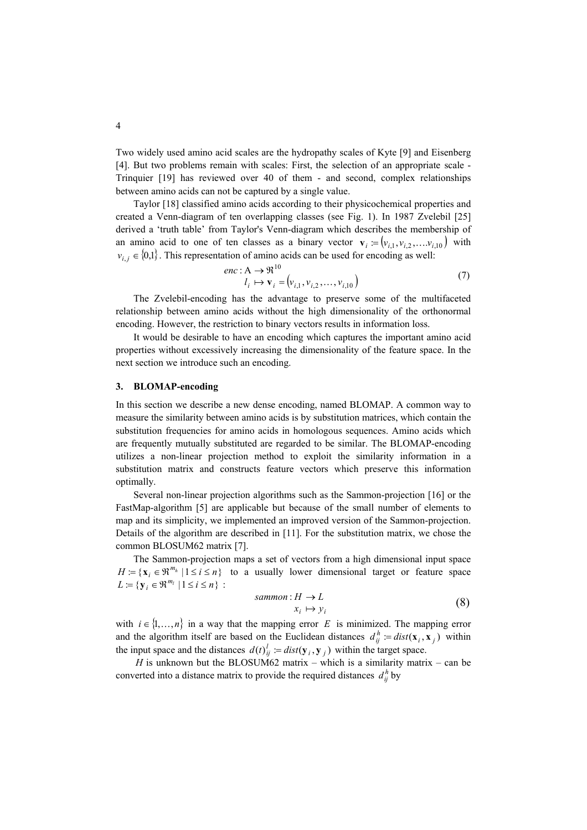Two widely used amino acid scales are the hydropathy scales of Kyte [9] and Eisenberg [4]. But two problems remain with scales: First, the selection of an appropriate scale - Trinquier [19] has reviewed over 40 of them - and second, complex relationships between amino acids can not be captured by a single value.

Taylor [18] classified amino acids according to their physicochemical properties and created a Venn-diagram of ten overlapping classes (see Fig. 1). In 1987 Zvelebil [25] derived a 'truth table' from Taylor's Venn-diagram which describes the membership of an amino acid to one of ten classes as a binary vector  $\mathbf{v}_i := (v_{i,1}, v_{i,2}, \dots, v_{i,10})$  with  $v_{i,j} \in \{0,1\}$ . This representation of amino acids can be used for encoding as well:

$$
enc: A \to \mathfrak{R}^{10}
$$
  

$$
l_i \mapsto \mathbf{v}_i = (v_{i,1}, v_{i,2}, \dots, v_{i,10})
$$
 (7)

The Zvelebil-encoding has the advantage to preserve some of the multifaceted relationship between amino acids without the high dimensionality of the orthonormal encoding. However, the restriction to binary vectors results in information loss.

It would be desirable to have an encoding which captures the important amino acid properties without excessively increasing the dimensionality of the feature space. In the next section we introduce such an encoding.

#### **3. BLOMAP-encoding**

In this section we describe a new dense encoding, named BLOMAP. A common way to measure the similarity between amino acids is by substitution matrices, which contain the substitution frequencies for amino acids in homologous sequences. Amino acids which are frequently mutually substituted are regarded to be similar. The BLOMAP-encoding utilizes a non-linear projection method to exploit the similarity information in a substitution matrix and constructs feature vectors which preserve this information optimally.

Several non-linear projection algorithms such as the Sammon-projection [16] or the FastMap-algorithm [5] are applicable but because of the small number of elements to map and its simplicity, we implemented an improved version of the Sammon-projection. Details of the algorithm are described in [11]. For the substitution matrix, we chose the common BLOSUM62 matrix [7].

The Sammon-projection maps a set of vectors from a high dimensional input space  $H := \{ \mathbf{x}_i \in \mathbb{R}^{m_h} \mid 1 \le i \le n \}$  to a usually lower dimensional target or feature space  $L := \{ y_i \in \Re^{m_i} \mid 1 \le i \le n \}$ :

$$
sammon: H \to L
$$
  
\n
$$
x_i \mapsto y_i
$$
 (8)

with  $i \in \{1, ..., n\}$  in a way that the mapping error *E* is minimized. The mapping error and the algorithm itself are based on the Euclidean distances  $d_{ij}^h := dist(\mathbf{x}_i, \mathbf{x}_j)$  within the input space and the distances  $d(t)_{ij}^l := dist(\mathbf{y}_i, \mathbf{y}_j)$  within the target space.

*H* is unknown but the BLOSUM62 matrix – which is a similarity matrix – can be converted into a distance matrix to provide the required distances  $d_{ij}^h$  by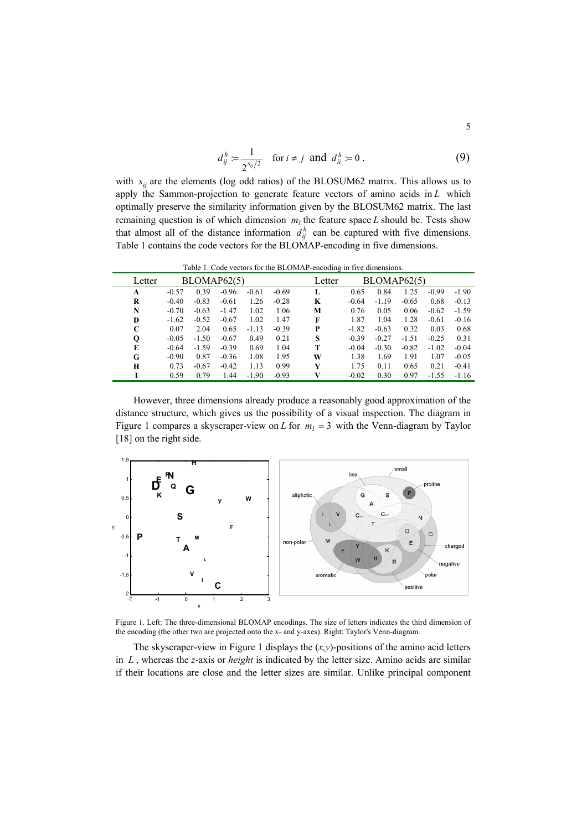$$
d_{ij}^h := \frac{1}{2^{s_{ij}/2}} \quad \text{for } i \neq j \text{ and } d_{ii}^h := 0 \,.
$$
 (9)

with  $s_{ij}$  are the elements (log odd ratios) of the BLOSUM62 matrix. This allows us to apply the Sammon-projection to generate feature vectors of amino acids in  $L$  which optimally preserve the similarity information given by the BLOSUM62 matrix. The last remaining question is of which dimension  $m_l$  the feature space L should be. Tests show that almost all of the distance information  $d_{ij}^h$  can be captured with five dimensions. Table 1 contains the code vectors for the BLOMAP-encoding in five dimensions.

Table 1. Code vectors for the BLOMAP-encoding in five dimensions.

| Letter | BLOMAP62(5) |         |         |         | Letter  | BLOMAP62(5) |         |         |         |         |         |
|--------|-------------|---------|---------|---------|---------|-------------|---------|---------|---------|---------|---------|
| A      | $-0.57$     | 0.39    | $-0.96$ | $-0.61$ | $-0.69$ | L           | 0.65    | 0.84    | 1.25    | $-0.99$ | $-1.90$ |
| R      | $-0.40$     | $-0.83$ | $-0.61$ | 1.26    | $-0.28$ | K           | $-0.64$ | $-1.19$ | $-0.65$ | 0.68    | $-0.13$ |
| N      | $-0.70$     | $-0.63$ | $-1.47$ | 1.02    | 1.06    | M           | 0.76    | 0.05    | 0.06    | $-0.62$ | $-1.59$ |
| D      | $-1.62$     | $-0.52$ | $-0.67$ | 1.02    | 1.47    | F           | 1.87    | 1.04    | 1.28    | $-0.61$ | $-0.16$ |
| C      | 0.07        | 2.04    | 0.65    | $-1.13$ | $-0.39$ | P           | $-1.82$ | $-0.63$ | 0.32    | 0.03    | 0.68    |
| Q      | $-0.05$     | $-1.50$ | $-0.67$ | 0.49    | 0.21    | S           | $-0.39$ | $-0.27$ | $-1.51$ | $-0.25$ | 0.31    |
| E      | $-0.64$     | $-1.59$ | $-0.39$ | 0.69    | 1.04    | т           | $-0.04$ | $-0.30$ | $-0.82$ | $-1.02$ | $-0.04$ |
| G      | $-0.90$     | 0.87    | $-0.36$ | 1.08    | 1.95    | W           | 1.38    | 1.69    | 1.91    | 1.07    | $-0.05$ |
| H      | 0.73        | $-0.67$ | $-0.42$ | 1.13    | 0.99    | Y           | 1.75    | 0.11    | 0.65    | 0.21    | $-0.41$ |
|        | 0.59        | 0.79    | 1.44    | $-1.90$ | $-0.93$ | V           | $-0.02$ | 0.30    | 0.97    | $-1.55$ | $-1.16$ |

However, three dimensions already produce a reasonably good approximation of the distance structure, which gives us the possibility of a visual inspection. The diagram in Figure 1 compares a skyscraper-view on *L* for  $m_l = 3$  with the Venn-diagram by Taylor [18] on the right side.



Figure 1. Left: The three-dimensional BLOMAP encodings. The size of letters indicates the third dimension of the encoding (the other two are projected onto the x- and y-axes). Right: Taylor's Venn-diagram.

The skyscraper-view in Figure 1 displays the  $(x, y)$ -positions of the amino acid letters in  $L$ , whereas the *z*-axis or *height* is indicated by the letter size. Amino acids are similar if their locations are close and the letter sizes are similar. Unlike principal component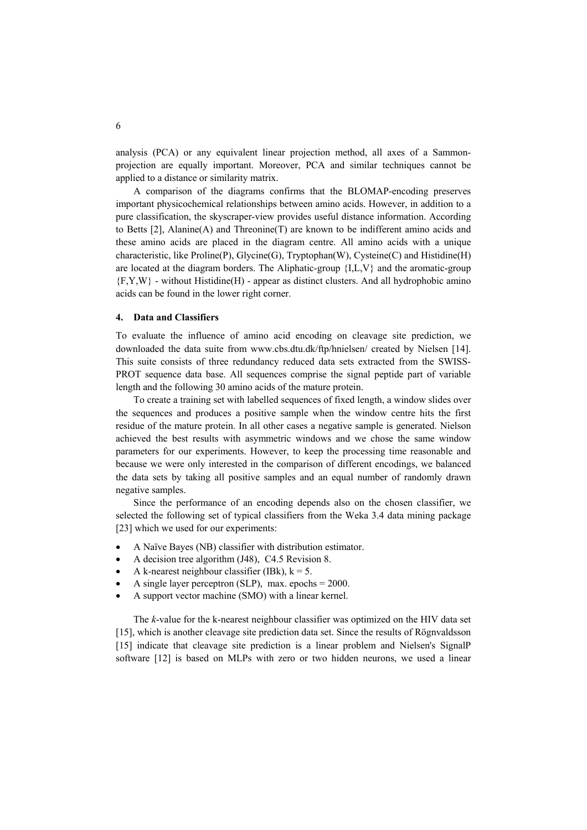analysis (PCA) or any equivalent linear projection method, all axes of a Sammonprojection are equally important. Moreover, PCA and similar techniques cannot be applied to a distance or similarity matrix.

A comparison of the diagrams confirms that the BLOMAP-encoding preserves important physicochemical relationships between amino acids. However, in addition to a pure classification, the skyscraper-view provides useful distance information. According to Betts [2], Alanine(A) and Threonine(T) are known to be indifferent amino acids and these amino acids are placed in the diagram centre. All amino acids with a unique characteristic, like Proline(P), Glycine(G), Tryptophan(W), Cysteine(C) and Histidine(H) are located at the diagram borders. The Aliphatic-group  ${I.L.V}$  and the aromatic-group  ${F, Y, W}$  - without Histidine(H) - appear as distinct clusters. And all hydrophobic amino acids can be found in the lower right corner.

#### **4. Data and Classifiers**

To evaluate the influence of amino acid encoding on cleavage site prediction, we downloaded the data suite from www.cbs.dtu.dk/ftp/hnielsen/ created by Nielsen [14]. This suite consists of three redundancy reduced data sets extracted from the SWISS-PROT sequence data base. All sequences comprise the signal peptide part of variable length and the following 30 amino acids of the mature protein.

To create a training set with labelled sequences of fixed length, a window slides over the sequences and produces a positive sample when the window centre hits the first residue of the mature protein. In all other cases a negative sample is generated. Nielson achieved the best results with asymmetric windows and we chose the same window parameters for our experiments. However, to keep the processing time reasonable and because we were only interested in the comparison of different encodings, we balanced the data sets by taking all positive samples and an equal number of randomly drawn negative samples.

Since the performance of an encoding depends also on the chosen classifier, we selected the following set of typical classifiers from the Weka 3.4 data mining package [23] which we used for our experiments:

- A Naïve Bayes (NB) classifier with distribution estimator.
- A decision tree algorithm (J48), C4.5 Revision 8.
- A k-nearest neighbour classifier (IBk),  $k = 5$ .
- A single layer perceptron (SLP), max. epochs  $= 2000$ .
- A support vector machine (SMO) with a linear kernel.

The *k*-value for the k-nearest neighbour classifier was optimized on the HIV data set [15], which is another cleavage site prediction data set. Since the results of Rögnvaldsson [15] indicate that cleavage site prediction is a linear problem and Nielsen's SignalP software [12] is based on MLPs with zero or two hidden neurons, we used a linear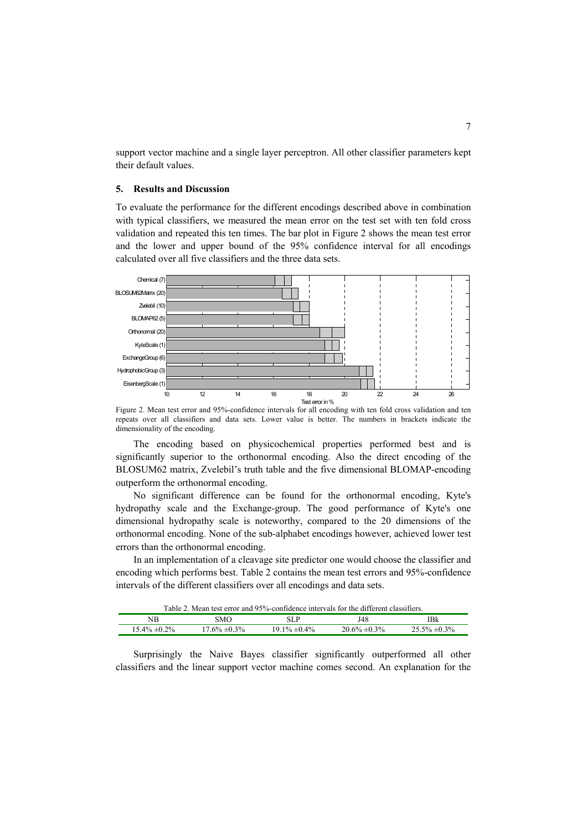support vector machine and a single layer perceptron. All other classifier parameters kept their default values.

### **5. Results and Discussion**

To evaluate the performance for the different encodings described above in combination with typical classifiers, we measured the mean error on the test set with ten fold cross validation and repeated this ten times. The bar plot in Figure 2 shows the mean test error and the lower and upper bound of the 95% confidence interval for all encodings calculated over all five classifiers and the three data sets.



Figure 2. Mean test error and 95%-confidence intervals for all encoding with ten fold cross validation and ten repeats over all classifiers and data sets. Lower value is better. The numbers in brackets indicate the dimensionality of the encoding.

The encoding based on physicochemical properties performed best and is significantly superior to the orthonormal encoding. Also the direct encoding of the BLOSUM62 matrix, Zvelebil's truth table and the five dimensional BLOMAP-encoding outperform the orthonormal encoding.

No significant difference can be found for the orthonormal encoding, Kyte's hydropathy scale and the Exchange-group. The good performance of Kyte's one dimensional hydropathy scale is noteworthy, compared to the 20 dimensions of the orthonormal encoding. None of the sub-alphabet encodings however, achieved lower test errors than the orthonormal encoding.

In an implementation of a cleavage site predictor one would choose the classifier and encoding which performs best. Table 2 contains the mean test errors and 95%-confidence intervals of the different classifiers over all encodings and data sets.

| Table 2. Mean test error and 95%-confidence intervals for the different classifiers. |  |  |
|--------------------------------------------------------------------------------------|--|--|
|                                                                                      |  |  |

| NВ          | SMC       | 3 L I        | J48           | IBk<br>--- |
|-------------|-----------|--------------|---------------|------------|
| 2%<br>5.4%، | 3%<br>ςΟ, | 10/2<br>10/2 | 3%<br>60/<br> | 0.207<br>. |
|             |           |              |               |            |

Surprisingly the Naive Bayes classifier significantly outperformed all other classifiers and the linear support vector machine comes second. An explanation for the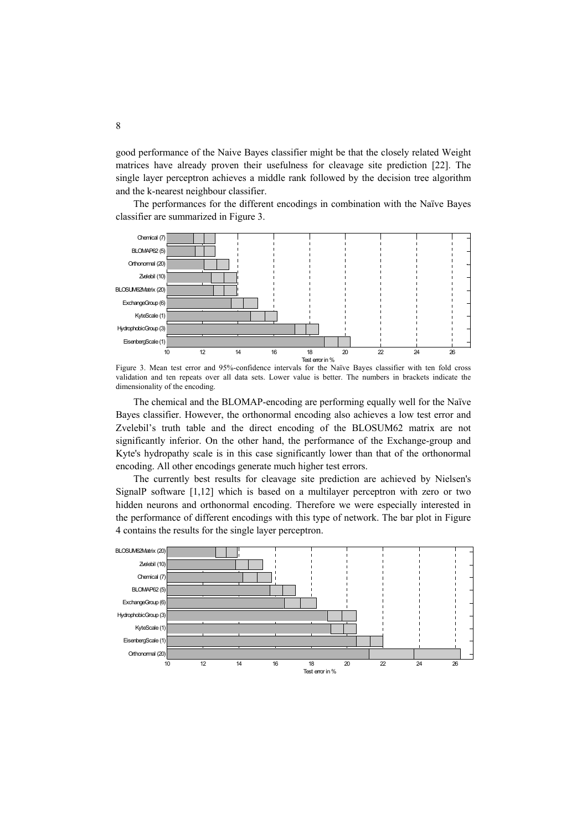good performance of the Naive Bayes classifier might be that the closely related Weight matrices have already proven their usefulness for cleavage site prediction [22]. The single layer perceptron achieves a middle rank followed by the decision tree algorithm and the k-nearest neighbour classifier.

The performances for the different encodings in combination with the Naïve Bayes classifier are summarized in Figure 3.



Figure 3. Mean test error and 95%-confidence intervals for the Naïve Bayes classifier with ten fold cross validation and ten repeats over all data sets. Lower value is better. The numbers in brackets indicate the dimensionality of the encoding.

The chemical and the BLOMAP-encoding are performing equally well for the Naïve Bayes classifier. However, the orthonormal encoding also achieves a low test error and Zvelebil's truth table and the direct encoding of the BLOSUM62 matrix are not significantly inferior. On the other hand, the performance of the Exchange-group and Kyte's hydropathy scale is in this case significantly lower than that of the orthonormal encoding. All other encodings generate much higher test errors.

The currently best results for cleavage site prediction are achieved by Nielsen's SignalP software [1,12] which is based on a multilayer perceptron with zero or two hidden neurons and orthonormal encoding. Therefore we were especially interested in the performance of different encodings with this type of network. The bar plot in Figure 4 contains the results for the single layer perceptron.

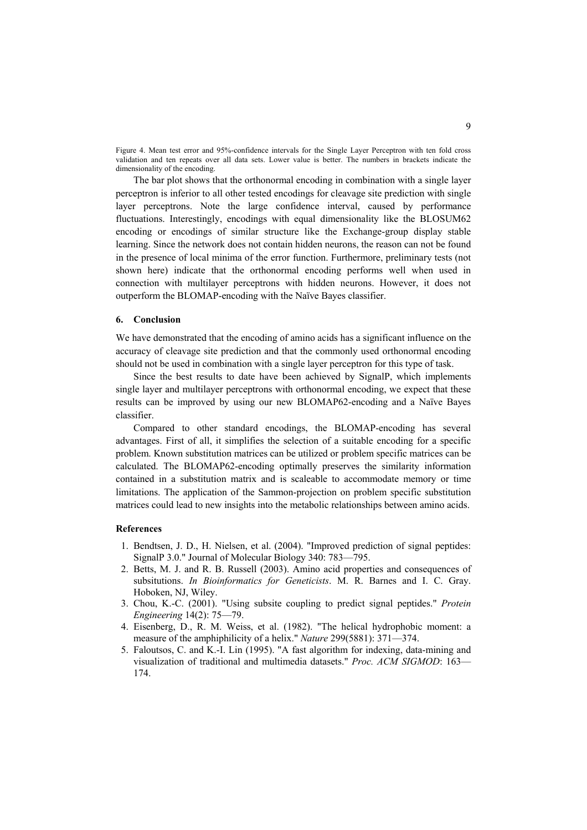Figure 4. Mean test error and 95%-confidence intervals for the Single Layer Perceptron with ten fold cross validation and ten repeats over all data sets. Lower value is better. The numbers in brackets indicate the dimensionality of the encoding.

The bar plot shows that the orthonormal encoding in combination with a single layer perceptron is inferior to all other tested encodings for cleavage site prediction with single layer perceptrons. Note the large confidence interval, caused by performance fluctuations. Interestingly, encodings with equal dimensionality like the BLOSUM62 encoding or encodings of similar structure like the Exchange-group display stable learning. Since the network does not contain hidden neurons, the reason can not be found in the presence of local minima of the error function. Furthermore, preliminary tests (not shown here) indicate that the orthonormal encoding performs well when used in connection with multilayer perceptrons with hidden neurons. However, it does not outperform the BLOMAP-encoding with the Naïve Bayes classifier.

## **6. Conclusion**

We have demonstrated that the encoding of amino acids has a significant influence on the accuracy of cleavage site prediction and that the commonly used orthonormal encoding should not be used in combination with a single layer perceptron for this type of task.

Since the best results to date have been achieved by SignalP, which implements single layer and multilayer perceptrons with orthonormal encoding, we expect that these results can be improved by using our new BLOMAP62-encoding and a Naïve Bayes classifier.

Compared to other standard encodings, the BLOMAP-encoding has several advantages. First of all, it simplifies the selection of a suitable encoding for a specific problem. Known substitution matrices can be utilized or problem specific matrices can be calculated. The BLOMAP62-encoding optimally preserves the similarity information contained in a substitution matrix and is scaleable to accommodate memory or time limitations. The application of the Sammon-projection on problem specific substitution matrices could lead to new insights into the metabolic relationships between amino acids.

#### **References**

- 1. Bendtsen, J. D., H. Nielsen, et al. (2004). "Improved prediction of signal peptides: SignalP 3.0." Journal of Molecular Biology 340: 783—795.
- 2. Betts, M. J. and R. B. Russell (2003). Amino acid properties and consequences of subsitutions. *In Bioinformatics for Geneticists*. M. R. Barnes and I. C. Gray. Hoboken, NJ, Wiley.
- 3. Chou, K.-C. (2001). "Using subsite coupling to predict signal peptides." *Protein Engineering* 14(2): 75—79.
- 4. Eisenberg, D., R. M. Weiss, et al. (1982). "The helical hydrophobic moment: a measure of the amphiphilicity of a helix." *Nature* 299(5881): 371—374.
- 5. Faloutsos, C. and K.-I. Lin (1995). "A fast algorithm for indexing, data-mining and visualization of traditional and multimedia datasets." *Proc. ACM SIGMOD*: 163— 174.